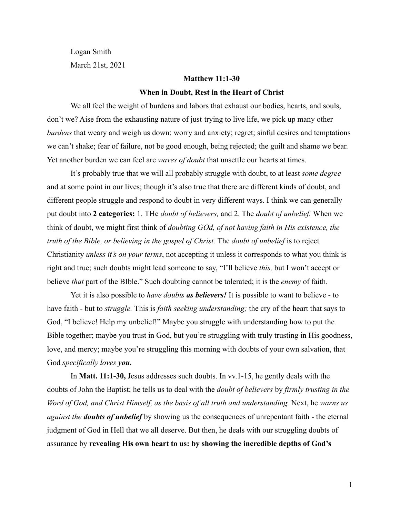Logan Smith March 21st, 2021

## **Matthew 11:1-30**

### **When in Doubt, Rest in the Heart of Christ**

We all feel the weight of burdens and labors that exhaust our bodies, hearts, and souls, don't we? Aise from the exhausting nature of just trying to live life, we pick up many other *burdens* that weary and weigh us down: worry and anxiety; regret; sinful desires and temptations we can't shake; fear of failure, not be good enough, being rejected; the guilt and shame we bear. Yet another burden we can feel are *waves of doubt* that unsettle our hearts at times.

It's probably true that we will all probably struggle with doubt, to at least *some degree* and at some point in our lives; though it's also true that there are different kinds of doubt, and different people struggle and respond to doubt in very different ways. I think we can generally put doubt into **2 categories:** 1. THe *doubt of believers,* and 2. The *doubt of unbelief.* When we think of doubt, we might first think of *doubting GOd, of not having faith in His existence, the truth of the Bible, or believing in the gospel of Christ.* The *doubt of unbelief* is to reject Christianity *unless it's on your terms*, not accepting it unless it corresponds to what you think is right and true; such doubts might lead someone to say, "I'll believe *this,* but I won't accept or believe *that* part of the BIble." Such doubting cannot be tolerated; it is the *enemy* of faith.

Yet it is also possible to *have doubts as believers!* It is possible to want to believe - to have faith - but to *struggle.* This is *faith seeking understanding;* the cry of the heart that says to God, "I believe! Help my unbelief!" Maybe you struggle with understanding how to put the Bible together; maybe you trust in God, but you're struggling with truly trusting in His goodness, love, and mercy; maybe you're struggling this morning with doubts of your own salvation, that God *specifically loves you.*

In **Matt. 11:1-30,** Jesus addresses such doubts. In vv.1-15, he gently deals with the doubts of John the Baptist; he tells us to deal with the *doubt of believers* by *firmly trusting in the Word of God, and Christ Himself, as the basis of all truth and understanding.* Next, he *warns us against the doubts of unbelief* by showing us the consequences of unrepentant faith - the eternal judgment of God in Hell that we all deserve. But then, he deals with our struggling doubts of assurance by **revealing His own heart to us: by showing the incredible depths of God's**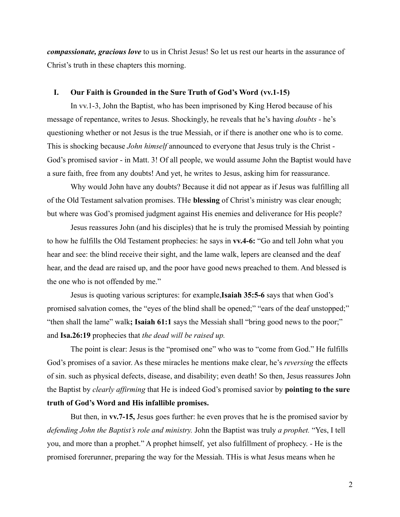*compassionate, gracious love* to us in Christ Jesus! So let us rest our hearts in the assurance of Christ's truth in these chapters this morning.

#### **I. Our Faith is Grounded in the Sure Truth of God's Word (vv.1-15)**

In vv.1-3, John the Baptist, who has been imprisoned by King Herod because of his message of repentance, writes to Jesus. Shockingly, he reveals that he's having *doubts -* he's questioning whether or not Jesus is the true Messiah, or if there is another one who is to come. This is shocking because *John himself* announced to everyone that Jesus truly is the Christ - God's promised savior - in Matt. 3! Of all people, we would assume John the Baptist would have a sure faith, free from any doubts! And yet, he writes to Jesus, asking him for reassurance.

Why would John have any doubts? Because it did not appear as if Jesus was fulfilling all of the Old Testament salvation promises. THe **blessing** of Christ's ministry was clear enough; but where was God's promised judgment against His enemies and deliverance for His people?

Jesus reassures John (and his disciples) that he is truly the promised Messiah by pointing to how he fulfills the Old Testament prophecies: he says in **vv.4-6:** "Go and tell John what you hear and see: the blind receive their sight, and the lame walk, lepers are cleansed and the deaf hear, and the dead are raised up, and the poor have good news preached to them. And blessed is the one who is not offended by me."

Jesus is quoting various scriptures: for example,**Isaiah 35:5-6** says that when God's promised salvation comes, the "eyes of the blind shall be opened;" "ears of the deaf unstopped;" "then shall the lame" walk**; Isaiah 61:1** says the Messiah shall "bring good news to the poor;" and **Isa.26:19** prophecies that *the dead will be raised up.*

The point is clear: Jesus is the "promised one" who was to "come from God." He fulfills God's promises of a savior. As these miracles he mentions make clear, he's *reversing* the effects of sin. such as physical defects, disease, and disability; even death! So then, Jesus reassures John the Baptist by *clearly affirming* that He is indeed God's promised savior by **pointing to the sure truth of God's Word and His infallible promises.**

But then, in **vv.7-15,** Jesus goes further: he even proves that he is the promised savior by *defending John the Baptist's role and ministry.* John the Baptist was truly *a prophet.* "Yes, I tell you, and more than a prophet." A prophet himself, yet also fulfillment of prophecy. - He is the promised forerunner, preparing the way for the Messiah. THis is what Jesus means when he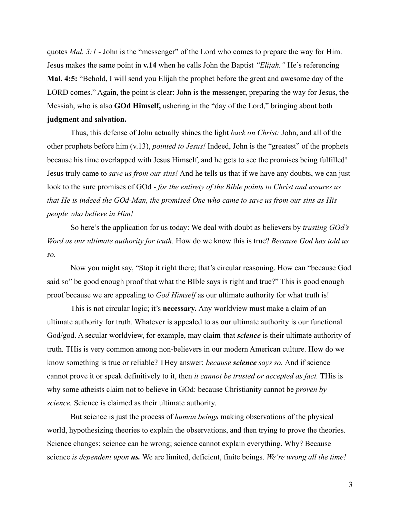quotes *Mal.* 3:1 - John is the "messenger" of the Lord who comes to prepare the way for Him. Jesus makes the same point in **v.14** when he calls John the Baptist *"Elijah."* He's referencing **Mal. 4:5:** "Behold, I will send you Elijah the prophet before the great and awesome day of the LORD comes." Again, the point is clear: John is the messenger, preparing the way for Jesus, the Messiah, who is also **GOd Himself,** ushering in the "day of the Lord," bringing about both **judgment** and **salvation.**

Thus, this defense of John actually shines the light *back on Christ:* John, and all of the other prophets before him (v.13), *pointed to Jesus!* Indeed, John is the "greatest" of the prophets because his time overlapped with Jesus Himself, and he gets to see the promises being fulfilled! Jesus truly came to *save us from our sins!* And he tells us that if we have any doubts, we can just look to the sure promises of GOd - *for the entirety of the Bible points to Christ and assures us that He is indeed the GOd-Man, the promised One who came to save us from our sins as His people who believe in Him!*

So here's the application for us today: We deal with doubt as believers by *trusting GOd's Word as our ultimate authority for truth.* How do we know this is true? *Because God has told us so.*

Now you might say, "Stop it right there; that's circular reasoning. How can "because God said so" be good enough proof that what the BIble says is right and true?" This is good enough proof because we are appealing to *God Himself* as our ultimate authority for what truth is!

This is not circular logic; it's **necessary.** Any worldview must make a claim of an ultimate authority for truth. Whatever is appealed to as our ultimate authority is our functional God/god. A secular worldview, for example, may claim that *science* is their ultimate authority of truth*.* THis is very common among non-believers in our modern American culture. How do we know something is true or reliable? THey answer: *because science says so.* And if science cannot prove it or speak definitively to it, then *it cannot be trusted or accepted as fact.* THis is why some atheists claim not to believe in GOd: because Christianity cannot be *proven by science.* Science is claimed as their ultimate authority.

But science is just the process of *human beings* making observations of the physical world, hypothesizing theories to explain the observations, and then trying to prove the theories. Science changes; science can be wrong; science cannot explain everything. Why? Because science *is dependent upon us.* We are limited, deficient, finite beings. *We're wrong all the time!*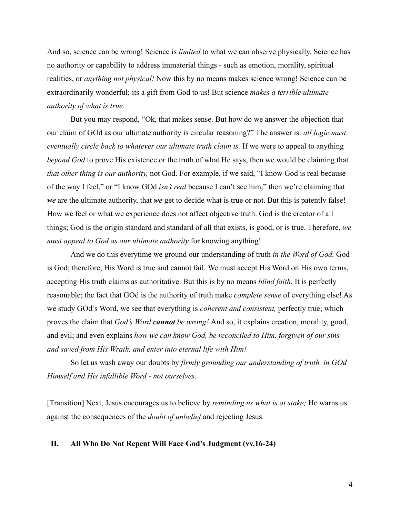And so, science can be wrong! Science is *limited* to what we can observe physically. Science has no authority or capability to address immaterial things - such as emotion, morality, spiritual realities, or *anything not physical!* Now this by no means makes science wrong! Science can be extraordinarily wonderful; its a gift from God to us! But science *makes a terrible ultimate authority of what is true.*

But you may respond, "Ok, that makes sense. But how do we answer the objection that our claim of GOd as our ultimate authority is circular reasoning?" The answer is: *all logic must eventually circle back to whatever our ultimate truth claim is.* If we were to appeal to anything *beyond God* to prove His existence or the truth of what He says, then we would be claiming that *that other thing is our authority,* not God. For example, if we said, "I know God is real because of the way I feel," or "I know GOd *isn't real* because I can't see him," then we're claiming that *we* are the ultimate authority, that *we* get to decide what is true or not. But this is patently false! How we feel or what we experience does not affect objective truth. God is the creator of all things; God is the origin standard and standard of all that exists, is good, or is true. Therefore, *we must appeal to God as our ultimate authority* for knowing anything!

And we do this everytime we ground our understanding of truth *in the Word of God.* God is God; therefore, His Word is true and cannot fail. We must accept His Word on His own terms, accepting His truth claims as authoritative. But this is by no means *blind faith.* It is perfectly reasonable; the fact that GOd is the authority of truth make *complete sense* of everything else! As we study GOd's Word, we see that everything is *coherent and consistent,* perfectly true; which proves the claim that *God's Word cannot be wrong!* And so, it explains creation, morality, good, and evil; and even explains *how we can know God, be reconciled to Him, forgiven of our sins and saved from His Wrath, and enter into eternal life with Him!*

So let us wash away our doubts by *firmly grounding our understanding of truth in GOd Himself and His infallible Word - not ourselves.*

[Transition] Next, Jesus encourages us to believe by *reminding us what is at stake;* He warns us against the consequences of the *doubt of unbelief* and rejecting Jesus.

## **II. All Who Do Not Repent Will Face God's Judgment (vv.16-24)**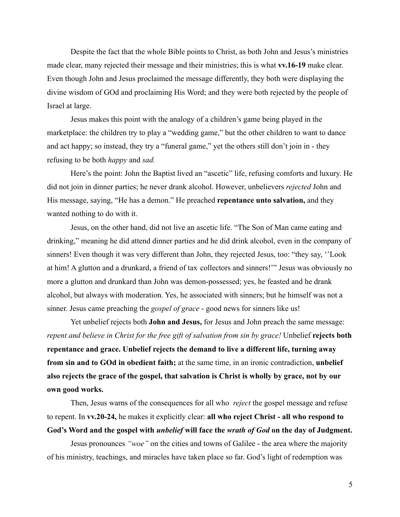Despite the fact that the whole Bible points to Christ, as both John and Jesus's ministries made clear, many rejected their message and their ministries; this is what **vv.16-19** make clear. Even though John and Jesus proclaimed the message differently, they both were displaying the divine wisdom of GOd and proclaiming His Word; and they were both rejected by the people of Israel at large.

Jesus makes this point with the analogy of a children's game being played in the marketplace: the children try to play a "wedding game," but the other children to want to dance and act happy; so instead, they try a "funeral game," yet the others still don't join in - they refusing to be both *happy* and *sad.*

Here's the point: John the Baptist lived an "ascetic" life, refusing comforts and luxury. He did not join in dinner parties; he never drank alcohol. However, unbelievers *rejected* John and His message, saying, "He has a demon." He preached **repentance unto salvation,** and they wanted nothing to do with it.

Jesus, on the other hand, did not live an ascetic life. "The Son of Man came eating and drinking," meaning he did attend dinner parties and he did drink alcohol, even in the company of sinners! Even though it was very different than John, they rejected Jesus, too: "they say, ''Look at him! A glutton and a drunkard, a friend of tax collectors and sinners!'" Jesus was obviously no more a glutton and drunkard than John was demon-possessed; yes, he feasted and he drank alcohol, but always with moderation. Yes, he associated with sinners; but he himself was not a sinner. Jesus came preaching the *gospel of grace* - good news for sinners like us!

Yet unbelief rejects both **John and Jesus,** for Jesus and John preach the same message: *repent and believe in Christ for the free gift of salvation from sin by grace!* Unbelief **rejects both repentance and grace. Unbelief rejects the demand to live a different life, turning away from sin and to GOd in obedient faith;** at the same time, in an ironic contradiction, **unbelief also rejects the grace of the gospel, that salvation is Christ is wholly by grace, not by our own good works.**

Then, Jesus warns of the consequences for all who *reject* the gospel message and refuse to repent. In **vv.20-24,** he makes it explicitly clear: **all who reject Christ - all who respond to God's Word and the gospel with** *unbelief* **will face the** *wrath of God* **on the day of Judgment.**

Jesus pronounces *"woe"* on the cities and towns of Galilee - the area where the majority of his ministry, teachings, and miracles have taken place so far. God's light of redemption was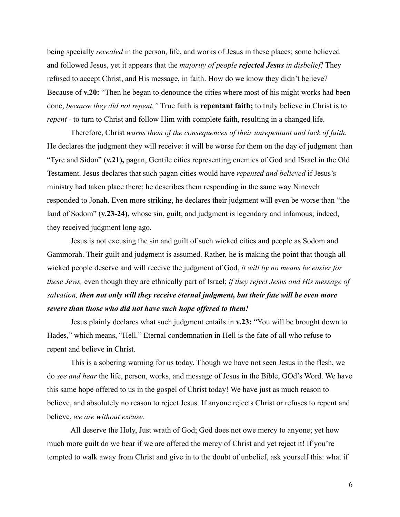being specially *revealed* in the person, life, and works of Jesus in these places; some believed and followed Jesus, yet it appears that the *majority of people rejected Jesus in disbelief!* They refused to accept Christ, and His message, in faith. How do we know they didn't believe? Because of **v.20:** "Then he began to denounce the cities where most of his might works had been done, *because they did not repent."* True faith is **repentant faith;** to truly believe in Christ is to *repent* - to turn to Christ and follow Him with complete faith, resulting in a changed life.

Therefore, Christ *warns them of the consequences of their unrepentant and lack of faith.* He declares the judgment they will receive: it will be worse for them on the day of judgment than "Tyre and Sidon" (**v.21),** pagan, Gentile cities representing enemies of God and ISrael in the Old Testament. Jesus declares that such pagan cities would have *repented and believed* if Jesus's ministry had taken place there; he describes them responding in the same way Nineveh responded to Jonah. Even more striking, he declares their judgment will even be worse than "the land of Sodom" (**v.23-24),** whose sin, guilt, and judgment is legendary and infamous; indeed, they received judgment long ago.

Jesus is not excusing the sin and guilt of such wicked cities and people as Sodom and Gammorah. Their guilt and judgment is assumed. Rather, he is making the point that though all wicked people deserve and will receive the judgment of God, *it will by no means be easier for these Jews,* even though they are ethnically part of Israel; *if they reject Jesus and His message of salvation, then not only will they receive eternal judgment, but their fate will be even more severe than those who did not have such hope offered to them!*

Jesus plainly declares what such judgment entails in **v.23:** "You will be brought down to Hades," which means, "Hell." Eternal condemnation in Hell is the fate of all who refuse to repent and believe in Christ.

This is a sobering warning for us today. Though we have not seen Jesus in the flesh, we do *see and hear* the life, person, works, and message of Jesus in the Bible, GOd's Word. We have this same hope offered to us in the gospel of Christ today! We have just as much reason to believe, and absolutely no reason to reject Jesus. If anyone rejects Christ or refuses to repent and believe, *we are without excuse.*

All deserve the Holy, Just wrath of God; God does not owe mercy to anyone; yet how much more guilt do we bear if we are offered the mercy of Christ and yet reject it! If you're tempted to walk away from Christ and give in to the doubt of unbelief, ask yourself this: what if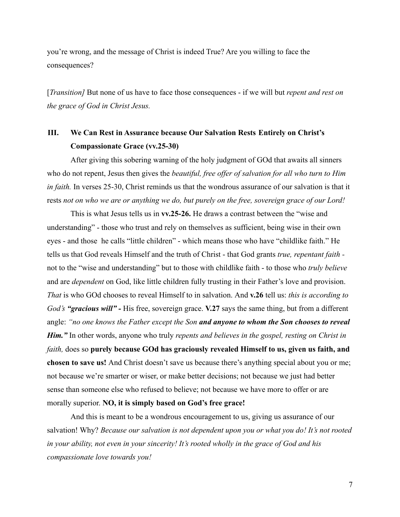you're wrong, and the message of Christ is indeed True? Are you willing to face the consequences?

[*Transition]* But none of us have to face those consequences - if we will but *repent and rest on the grace of God in Christ Jesus.*

# **III. We Can Rest in Assurance because Our Salvation Rests Entirely on Christ's Compassionate Grace (vv.25-30)**

After giving this sobering warning of the holy judgment of GOd that awaits all sinners who do not repent, Jesus then gives the *beautiful, free offer of salvation for all who turn to Him in faith.* In verses 25-30, Christ reminds us that the wondrous assurance of our salvation is that it rests *not on who we are or anything we do, but purely on the free, sovereign grace of our Lord!*

This is what Jesus tells us in **vv.25-26.** He draws a contrast between the "wise and understanding" - those who trust and rely on themselves as sufficient, being wise in their own eyes - and those he calls "little children" - which means those who have "childlike faith." He tells us that God reveals Himself and the truth of Christ - that God grants *true, repentant faith*  not to the "wise and understanding" but to those with childlike faith - to those who *truly believe* and are *dependent* on God, like little children fully trusting in their Father's love and provision. *That* is who GOd chooses to reveal Himself to in salvation. And **v.26** tell us: *this is according to God's "gracious will" -* His free, sovereign grace. **V.27** says the same thing, but from a different angle: *"no one knows the Father except the Son and anyone to whom the Son chooses to reveal Him."* In other words, anyone who truly *repents and believes in the gospel, resting on Christ in faith,* does so **purely because GOd has graciously revealed Himself to us, given us faith, and chosen to save us!** And Christ doesn't save us because there's anything special about you or me; not because we're smarter or wiser, or make better decisions; not because we just had better sense than someone else who refused to believe; not because we have more to offer or are morally superior. **NO, it is simply based on God's free grace!**

And this is meant to be a wondrous encouragement to us, giving us assurance of our salvation! Why? *Because our salvation is not dependent upon you or what you do! It's not rooted in your ability, not even in your sincerity! It's rooted wholly in the grace of God and his compassionate love towards you!*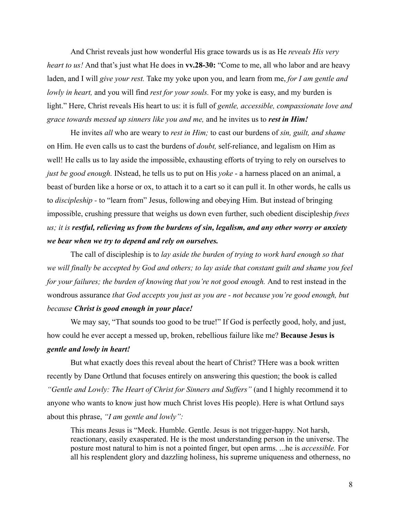And Christ reveals just how wonderful His grace towards us is as He *reveals His very heart to us!* And that's just what He does in **vv.28-30:** "Come to me, all who labor and are heavy laden, and I will *give your rest.* Take my yoke upon you, and learn from me, *for I am gentle and lowly in heart,* and you will find *rest for your souls.* For my yoke is easy, and my burden is light." Here, Christ reveals His heart to us: it is full of *gentle, accessible, compassionate love and grace towards messed up sinners like you and me,* and he invites us to *rest in Him!*

He invites *all* who are weary to *rest in Him;* to cast our burdens of *sin, guilt, and shame* on Him. He even calls us to cast the burdens of *doubt,* self-reliance, and legalism on Him as well! He calls us to lay aside the impossible, exhausting efforts of trying to rely on ourselves to *just be good enough.* INstead, he tells us to put on His *yoke* - a harness placed on an animal, a beast of burden like a horse or ox, to attach it to a cart so it can pull it. In other words, he calls us to *discipleship -* to "learn from" Jesus, following and obeying Him. But instead of bringing impossible, crushing pressure that weighs us down even further, such obedient discipleship *frees us; it is restful, relieving us from the burdens of sin, legalism, and any other worry or anxiety we bear when we try to depend and rely on ourselves.*

The call of discipleship is to *lay aside the burden of trying to work hard enough so that we will finally be accepted by God and others; to lay aside that constant guilt and shame you feel for your failures; the burden of knowing that you're not good enough.* And to rest instead in the wondrous assurance *that God accepts you just as you are - not because you're good enough, but because Christ is good enough in your place!*

We may say, "That sounds too good to be true!" If God is perfectly good, holy, and just, how could he ever accept a messed up, broken, rebellious failure like me? **Because Jesus is** *gentle and lowly in heart!*

But what exactly does this reveal about the heart of Christ? THere was a book written recently by Dane Ortlund that focuses entirely on answering this question; the book is called *"Gentle and Lowly: The Heart of Christ for Sinners and Suffers"* (and I highly recommend it to anyone who wants to know just how much Christ loves His people). Here is what Ortlund says about this phrase, *"I am gentle and lowly":*

This means Jesus is "Meek. Humble. Gentle. Jesus is not trigger-happy. Not harsh, reactionary, easily exasperated. He is the most understanding person in the universe. The posture most natural to him is not a pointed finger, but open arms. ...he is *accessible.* For all his resplendent glory and dazzling holiness, his supreme uniqueness and otherness, no